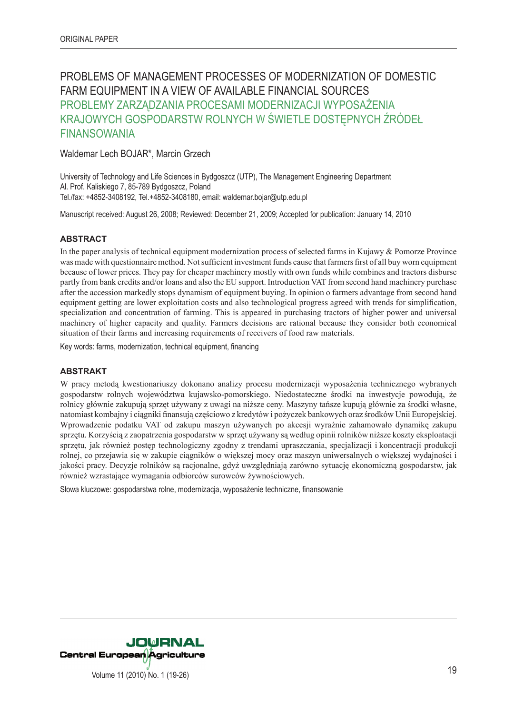# PROBLEMS OF MANAGEMENT PROCESSES OF MODERNIZATION OF DOMESTIC FARM EQUIPMENT IN A VIEW OF AVAILABLE FINANCIAL SOURCES PROBLEMY ZARZĄDZANIA PROCESAMI MODERNIZACJI WYPOSAŻENIA KRAJOWYCH GOSPODARSTW ROLNYCH W ŚWIETLE DOSTĘPNYCH ŹRÓDEŁ FINANSOWANIA

Waldemar Lech BOJAR\*, Marcin Grzech

University of Technology and Life Sciences in Bydgoszcz (UTP), The Management Engineering Department Al. Prof. Kaliskiego 7, 85-789 Bydgoszcz, Poland Tel./fax: +4852-3408192, Tel.+4852-3408180, email: waldemar.bojar@utp.edu.pl

Manuscript received: August 26, 2008; Reviewed: December 21, 2009; Accepted for publication: January 14, 2010

#### **ABSTRACT**

In the paper analysis of technical equipment modernization process of selected farms in Kujawy & Pomorze Province was made with questionnaire method. Not sufficient investment funds cause that farmers first of all buy worn equipment because of lower prices. They pay for cheaper machinery mostly with own funds while combines and tractors disburse partly from bank credits and/or loans and also the EU support. Introduction VAT from second hand machinery purchase after the accession markedly stops dynamism of equipment buying. In opinion o farmers advantage from second hand equipment getting are lower exploitation costs and also technological progress agreed with trends for simplification, specialization and concentration of farming. This is appeared in purchasing tractors of higher power and universal machinery of higher capacity and quality. Farmers decisions are rational because they consider both economical situation of their farms and increasing requirements of receivers of food raw materials.

Key words: farms, modernization, technical equipment, financing

#### **ABSTRAKT**

W pracy metodą kwestionariuszy dokonano analizy procesu modernizacji wyposażenia technicznego wybranych gospodarstw rolnych województwa kujawsko-pomorskiego. Niedostateczne środki na inwestycje powodują, że rolnicy głównie zakupują sprzęt używany z uwagi na niższe ceny. Maszyny tańsze kupują głównie za środki własne, natomiast kombajny i ciągniki finansują częściowo z kredytów i pożyczek bankowych oraz środków Unii Europejskiej. Wprowadzenie podatku VAT od zakupu maszyn używanych po akcesji wyraźnie zahamowało dynamikę zakupu sprzętu. Korzyścią z zaopatrzenia gospodarstw w sprzęt używany są według opinii rolników niższe koszty eksploatacji sprzętu, jak również postęp technologiczny zgodny z trendami upraszczania, specjalizacji i koncentracji produkcji rolnej, co przejawia się w zakupie ciągników o większej mocy oraz maszyn uniwersalnych o większej wydajności i jakości pracy. Decyzje rolników są racjonalne, gdyż uwzględniają zarówno sytuację ekonomiczną gospodarstw, jak również wzrastające wymagania odbiorców surowców żywnościowych.

Słowa kluczowe: gospodarstwa rolne, modernizacja, wyposażenie techniczne, finansowanie

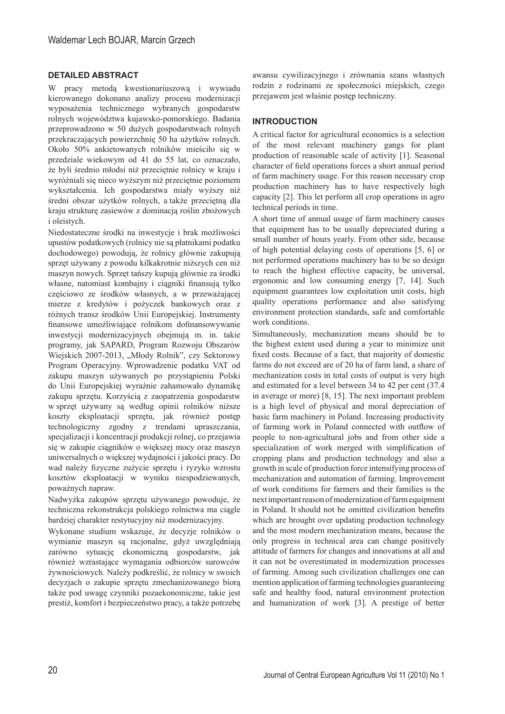## **DETAILED ABSTRACT**

W pracy metodą kwestionariuszową i wywiadu kierowanego dokonano analizy procesu modernizacji wyposażenia technicznego wybranych gospodarstw rolnych województwa kujawsko-pomorskiego. Badania przeprowadzono w 50 dużych gospodarstwach rolnych przekraczających powierzchnię 50 ha użytków rolnych. Około 50% ankietowanych rolników mieściło się w przedziale wiekowym od 41 do 55 lat, co oznaczało, że byli średnio młodsi niż przeciętnie rolnicy w kraju i wyróżniali się nieco wyższym niż przeciętnie poziomem wykształcenia. Ich gospodarstwa miały wyższy niż średni obszar użytków rolnych, a także przeciętną dla kraju strukturę zasiewów z dominacją roślin zbożowych i oleistych.

Niedostateczne środki na inwestycje i brak możliwości upustów podatkowych (rolnicy nie są płatnikami podatku dochodowego) powodują, że rolnicy głównie zakupują sprzęt używany z powodu kilkakrotnie niższych cen niż maszyn nowych. Sprzęt tańszy kupują głównie za środki własne, natomiast kombajny i ciągniki finansują tylko częściowo ze środków własnych, a w przeważającej mierze z kredytów i pożyczek bankowych oraz z różnych transz środków Unii Europejskiej. Instrumenty finansowe umożliwiające rolnikom dofinansowywanie inwestycji modernizacyjnych obejmują m. in. takie programy, jak SAPARD, Program Rozwoju Obszarów Wiejskich 2007-2013, "Młody Rolnik", czy Sektorowy Program Operacyjny. Wprowadzenie podatku VAT od zakupu maszyn używanych po przystąpieniu Polski do Unii Europejskiej wyraźnie zahamowało dynamikę zakupu sprzętu. Korzyścią z zaopatrzenia gospodarstw w sprzęt używany są według opinii rolników niższe koszty eksploatacji sprzętu, jak również postęp technologiczny zgodny z trendami upraszczania, specjalizacji i koncentracji produkcji rolnej, co przejawia się w zakupie ciągników o większej mocy oraz maszyn uniwersalnych o większej wydajności i jakości pracy. Do wad należy fizyczne zużycie sprzętu i ryzyko wzrostu kosztów eksploatacji w wyniku niespodziewanych, poważnych napraw.

Nadwyżka zakupów sprzętu używanego powoduje, że techniczna rekonstrukcja polskiego rolnictwa ma ciągle bardziej charakter restytucyjny niż modernizacyjny.

Wykonane studium wskazuje, że decyzje rolników o wymianie maszyn są racjonalne, gdyż uwzględniają zarówno sytuację ekonomiczną gospodarstw, jak również wzrastające wymagania odbiorców surowców żywnościowych. Należy podkreślić, że rolnicy w swoich decyzjach o zakupie sprzętu zmechanizowanego biorą także pod uwagę czynniki pozaekonomiczne, takie jest prestiż, komfort i bezpieczeństwo pracy, a także potrzebę

awansu cywilizacyjnego i zrównania szans własnych rodzin z rodzinami ze społeczności miejskich, czego przejawem jest właśnie postęp techniczny.

# **INTRODUCTION**

A critical factor for agricultural economics is a selection of the most relevant machinery gangs for plant production of reasonable scale of activity [1]. Seasonal character of field operations forces a short annual period of farm machinery usage. For this reason necessary crop production machinery has to have respectively high capacity [2]. This let perform all crop operations in agro technical periods in time.

A short time of annual usage of farm machinery causes that equipment has to be usually depreciated during a small number of hours yearly. From other side, because of high potential delaying costs of operations [5, 6] or not performed operations machinery has to be so design to reach the highest effective capacity, be universal, ergonomic and low consuming energy [7, 14]. Such equipment guarantees low exploitation unit costs, high quality operations performance and also satisfying environment protection standards, safe and comfortable work conditions.

Simultaneously, mechanization means should be to the highest extent used during a year to minimize unit fixed costs. Because of a fact, that majority of domestic farms do not exceed are of 20 ha of farm land, a share of mechanization costs in total costs of output is very high and estimated for a level between 34 to 42 per cent (37.4 in average or more) [8, 15]. The next important problem is a high level of physical and moral depreciation of basic farm machinery in Poland. Increasing productivity of farming work in Poland connected with outflow of people to non-agricultural jobs and from other side a specialization of work merged with simplification of cropping plans and production technology and also a growth in scale of production force intensifying process of mechanization and automation of farming. Improvement of work conditions for farmers and their families is the next important reason of modernization of farm equipment in Poland. It should not be omitted civilization benefits which are brought over updating production technology and the most modern mechanization means, because the only progress in technical area can change positively attitude of farmers for changes and innovations at all and it can not be overestimated in modernization processes of farming. Among such civilization challenges one can mention application of farming technologies guaranteeing safe and healthy food, natural environment protection and humanization of work [3]. A prestige of better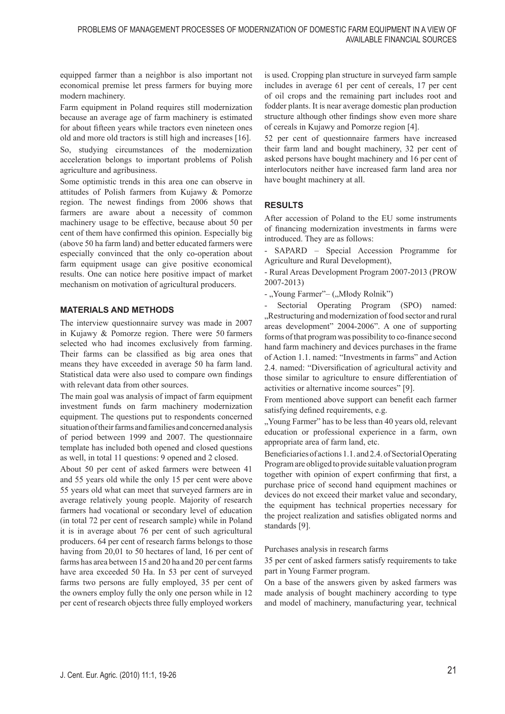equipped farmer than a neighbor is also important not economical premise let press farmers for buying more modern machinery.

Farm equipment in Poland requires still modernization because an average age of farm machinery is estimated for about fifteen years while tractors even nineteen ones old and more old tractors is still high and increases [16]. So, studying circumstances of the modernization acceleration belongs to important problems of Polish agriculture and agribusiness.

Some optimistic trends in this area one can observe in attitudes of Polish farmers from Kujawy & Pomorze region. The newest findings from 2006 shows that farmers are aware about a necessity of common machinery usage to be effective, because about 50 per cent of them have confirmed this opinion. Especially big (above 50 ha farm land) and better educated farmers were especially convinced that the only co-operation about farm equipment usage can give positive economical results. One can notice here positive impact of market mechanism on motivation of agricultural producers.

## **MATERIALS AND METHODS**

The interview questionnaire survey was made in 2007 in Kujawy & Pomorze region. There were 50 farmers selected who had incomes exclusively from farming. Their farms can be classified as big area ones that means they have exceeded in average 50 ha farm land. Statistical data were also used to compare own findings with relevant data from other sources.

The main goal was analysis of impact of farm equipment investment funds on farm machinery modernization equipment. The questions put to respondents concerned situation of their farms and families and concerned analysis of period between 1999 and 2007. The questionnaire template has included both opened and closed questions as well, in total 11 questions: 9 opened and 2 closed.

About 50 per cent of asked farmers were between 41 and 55 years old while the only 15 per cent were above 55 years old what can meet that surveyed farmers are in average relatively young people. Majority of research farmers had vocational or secondary level of education (in total 72 per cent of research sample) while in Poland it is in average about 76 per cent of such agricultural producers. 64 per cent of research farms belongs to those having from 20,01 to 50 hectares of land, 16 per cent of farms has area between 15 and 20 ha and 20 per cent farms have area exceeded 50 Ha. In 53 per cent of surveyed farms two persons are fully employed, 35 per cent of the owners employ fully the only one person while in 12 per cent of research objects three fully employed workers

is used. Cropping plan structure in surveyed farm sample includes in average 61 per cent of cereals, 17 per cent of oil crops and the remaining part includes root and fodder plants. It is near average domestic plan production structure although other findings show even more share of cereals in Kujawy and Pomorze region [4].

52 per cent of questionnaire farmers have increased their farm land and bought machinery, 32 per cent of asked persons have bought machinery and 16 per cent of interlocutors neither have increased farm land area nor have bought machinery at all.

# **RESULTS**

After accession of Poland to the EU some instruments of financing modernization investments in farms were introduced. They are as follows:

- SAPARD – Special Accession Programme for Agriculture and Rural Development),

- Rural Areas Development Program 2007-2013 (PROW 2007-2013)

- "Young Farmer"– ("Młody Rolnik")

Sectorial Operating Program (SPO) named: "Restructuring and modernization of food sector and rural areas development" 2004-2006". A one of supporting forms of that program was possibility to co-finance second hand farm machinery and devices purchases in the frame of Action 1.1. named: "Investments in farms" and Action 2.4. named: "Diversification of agricultural activity and those similar to agriculture to ensure differentiation of activities or alternative income sources" [9].

From mentioned above support can benefit each farmer satisfying defined requirements, e.g.

". Young Farmer" has to be less than 40 years old, relevant education or professional experience in a farm, own appropriate area of farm land, etc.

Beneficiaries of actions 1.1. and 2.4. of Sectorial Operating Program are obliged to provide suitable valuation program together with opinion of expert confirming that first, a purchase price of second hand equipment machines or devices do not exceed their market value and secondary, the equipment has technical properties necessary for the project realization and satisfies obligated norms and standards [9].

Purchases analysis in research farms

35 per cent of asked farmers satisfy requirements to take part in Young Farmer program.

On a base of the answers given by asked farmers was made analysis of bought machinery according to type and model of machinery, manufacturing year, technical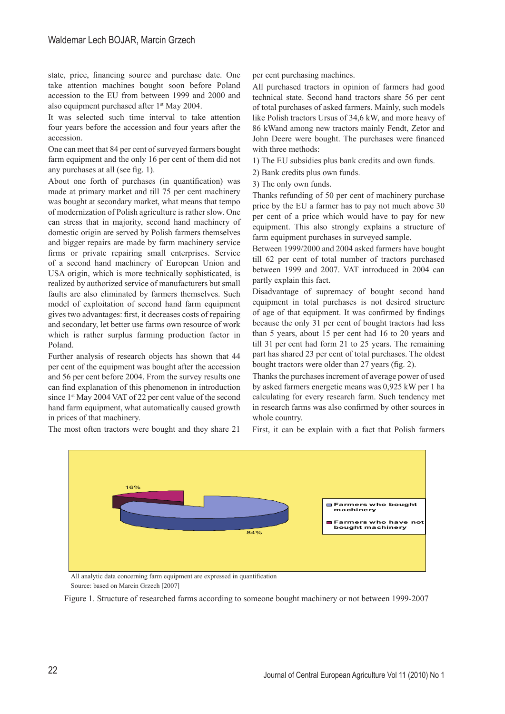state, price, financing source and purchase date. One take attention machines bought soon before Poland accession to the EU from between 1999 and 2000 and also equipment purchased after 1<sup>st</sup> May 2004.

It was selected such time interval to take attention four years before the accession and four years after the accession.

One can meet that 84 per cent of surveyed farmers bought farm equipment and the only 16 per cent of them did not any purchases at all (see fig. 1).

About one forth of purchases (in quantification) was made at primary market and till 75 per cent machinery was bought at secondary market, what means that tempo of modernization of Polish agriculture is rather slow. One can stress that in majority, second hand machinery of domestic origin are served by Polish farmers themselves and bigger repairs are made by farm machinery service firms or private repairing small enterprises. Service of a second hand machinery of European Union and USA origin, which is more technically sophisticated, is realized by authorized service of manufacturers but small faults are also eliminated by farmers themselves. Such model of exploitation of second hand farm equipment gives two advantages: first, it decreases costs of repairing and secondary, let better use farms own resource of work which is rather surplus farming production factor in Poland.

Further analysis of research objects has shown that 44 per cent of the equipment was bought after the accession and 56 per cent before 2004. From the survey results one can find explanation of this phenomenon in introduction since 1<sup>st</sup> May 2004 VAT of 22 per cent value of the second hand farm equipment, what automatically caused growth in prices of that machinery.

The most often tractors were bought and they share 21

per cent purchasing machines.

All purchased tractors in opinion of farmers had good technical state. Second hand tractors share 56 per cent of total purchases of asked farmers. Mainly, such models like Polish tractors Ursus of 34,6 kW, and more heavy of 86 kWand among new tractors mainly Fendt, Zetor and John Deere were bought. The purchases were financed with three methods:

1) The EU subsidies plus bank credits and own funds.

2) Bank credits plus own funds.

3) The only own funds.

Thanks refunding of 50 per cent of machinery purchase price by the EU a farmer has to pay not much above 30 per cent of a price which would have to pay for new equipment. This also strongly explains a structure of farm equipment purchases in surveyed sample.

Between 1999/2000 and 2004 asked farmers have bought till 62 per cent of total number of tractors purchased between 1999 and 2007. VAT introduced in 2004 can partly explain this fact.

Disadvantage of supremacy of bought second hand equipment in total purchases is not desired structure of age of that equipment. It was confirmed by findings because the only 31 per cent of bought tractors had less than 5 years, about 15 per cent had 16 to 20 years and till 31 per cent had form 21 to 25 years. The remaining part has shared 23 per cent of total purchases. The oldest bought tractors were older than 27 years (fig. 2).

Thanks the purchases increment of average power of used by asked farmers energetic means was 0,925 kW per 1 ha calculating for every research farm. Such tendency met in research farms was also confirmed by other sources in whole country.

First, it can be explain with a fact that Polish farmers



All analytic data concerning farm equipment are expressed in quantification Source: based on Marcin Grzech [2007]

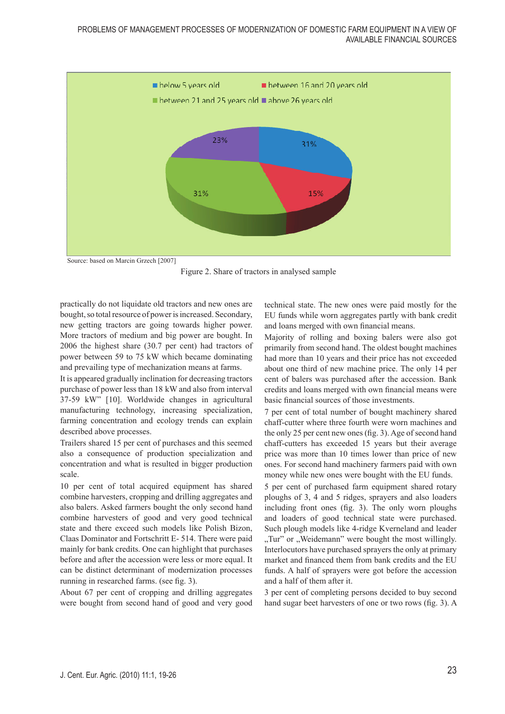

Figure 2. Share of tractors in analysed sample

practically do not liquidate old tractors and new ones are bought, so total resource of power is increased. Secondary, new getting tractors are going towards higher power. More tractors of medium and big power are bought. In 2006 the highest share (30.7 per cent) had tractors of power between 59 to 75 kW which became dominating and prevailing type of mechanization means at farms.

It is appeared gradually inclination for decreasing tractors purchase of power less than 18 kW and also from interval 37-59 kW" [10]. Worldwide changes in agricultural manufacturing technology, increasing specialization, farming concentration and ecology trends can explain described above processes.

Trailers shared 15 per cent of purchases and this seemed also a consequence of production specialization and concentration and what is resulted in bigger production scale.

10 per cent of total acquired equipment has shared combine harvesters, cropping and drilling aggregates and also balers. Asked farmers bought the only second hand combine harvesters of good and very good technical state and there exceed such models like Polish Bizon, Claas Dominator and Fortschritt E- 514. There were paid mainly for bank credits. One can highlight that purchases before and after the accession were less or more equal. It can be distinct determinant of modernization processes running in researched farms. (see fig. 3).

About 67 per cent of cropping and drilling aggregates were bought from second hand of good and very good technical state. The new ones were paid mostly for the EU funds while worn aggregates partly with bank credit and loans merged with own financial means.

Majority of rolling and boxing balers were also got primarily from second hand. The oldest bought machines had more than 10 years and their price has not exceeded about one third of new machine price. The only 14 per cent of balers was purchased after the accession. Bank credits and loans merged with own financial means were basic financial sources of those investments.

7 per cent of total number of bought machinery shared chaff-cutter where three fourth were worn machines and the only 25 per cent new ones (fig. 3). Age of second hand chaff-cutters has exceeded 15 years but their average price was more than 10 times lower than price of new ones. For second hand machinery farmers paid with own money while new ones were bought with the EU funds.

5 per cent of purchased farm equipment shared rotary ploughs of 3, 4 and 5 ridges, sprayers and also loaders including front ones (fig. 3). The only worn ploughs and loaders of good technical state were purchased. Such plough models like 4-ridge Kverneland and leader "Tur" or "Weidemann" were bought the most willingly. Interlocutors have purchased sprayers the only at primary market and financed them from bank credits and the EU funds. A half of sprayers were got before the accession and a half of them after it.

3 per cent of completing persons decided to buy second hand sugar beet harvesters of one or two rows (fig. 3). A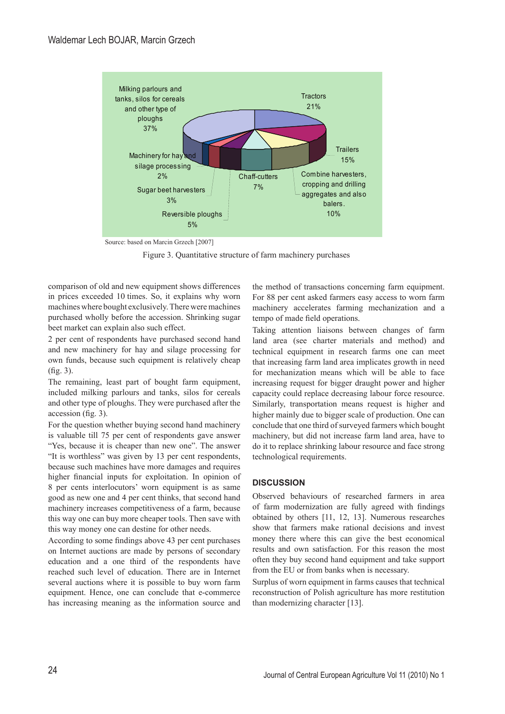

Source: based on Marcin Grzech [2007]

Figure 3. Quantitative structure of farm machinery purchases

comparison of old and new equipment shows differences in prices exceeded 10 times. So, it explains why worn machines where bought exclusively. There were machines purchased wholly before the accession. Shrinking sugar beet market can explain also such effect.

2 per cent of respondents have purchased second hand and new machinery for hay and silage processing for own funds, because such equipment is relatively cheap (fig. 3).

The remaining, least part of bought farm equipment, included milking parlours and tanks, silos for cereals and other type of ploughs. They were purchased after the accession (fig. 3).

For the question whether buying second hand machinery is valuable till 75 per cent of respondents gave answer "Yes, because it is cheaper than new one". The answer "It is worthless" was given by 13 per cent respondents, because such machines have more damages and requires higher financial inputs for exploitation. In opinion of 8 per cents interlocutors' worn equipment is as same good as new one and 4 per cent thinks, that second hand machinery increases competitiveness of a farm, because this way one can buy more cheaper tools. Then save with this way money one can destine for other needs.

According to some findings above 43 per cent purchases on Internet auctions are made by persons of secondary education and a one third of the respondents have reached such level of education. There are in Internet several auctions where it is possible to buy worn farm equipment. Hence, one can conclude that e-commerce has increasing meaning as the information source and the method of transactions concerning farm equipment. For 88 per cent asked farmers easy access to worn farm machinery accelerates farming mechanization and a tempo of made field operations.

Taking attention liaisons between changes of farm land area (see charter materials and method) and technical equipment in research farms one can meet that increasing farm land area implicates growth in need for mechanization means which will be able to face increasing request for bigger draught power and higher capacity could replace decreasing labour force resource. Similarly, transportation means request is higher and higher mainly due to bigger scale of production. One can conclude that one third of surveyed farmers which bought machinery, but did not increase farm land area, have to do it to replace shrinking labour resource and face strong technological requirements.

## **DISCUSSION**

Observed behaviours of researched farmers in area of farm modernization are fully agreed with findings obtained by others [11, 12, 13]. Numerous researches show that farmers make rational decisions and invest money there where this can give the best economical results and own satisfaction. For this reason the most often they buy second hand equipment and take support from the EU or from banks when is necessary.

Surplus of worn equipment in farms causes that technical reconstruction of Polish agriculture has more restitution than modernizing character [13].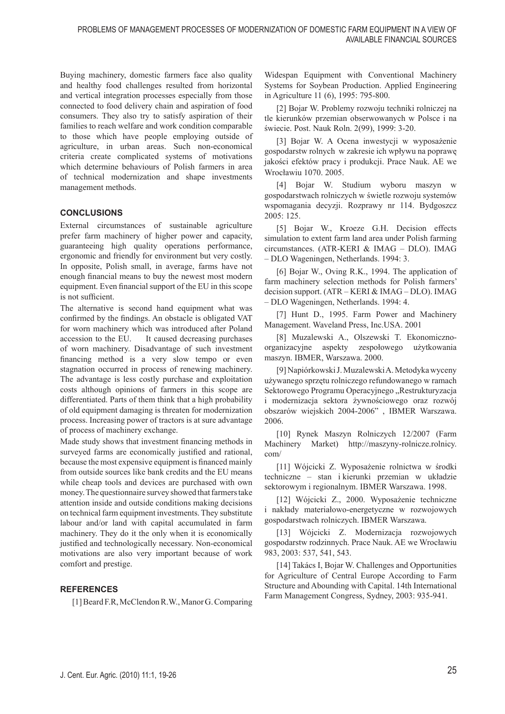Buying machinery, domestic farmers face also quality and healthy food challenges resulted from horizontal and vertical integration processes especially from those connected to food delivery chain and aspiration of food consumers. They also try to satisfy aspiration of their families to reach welfare and work condition comparable to those which have people employing outside of agriculture, in urban areas. Such non-economical criteria create complicated systems of motivations which determine behaviours of Polish farmers in area of technical modernization and shape investments management methods.

# **CONCLUSIONS**

External circumstances of sustainable agriculture prefer farm machinery of higher power and capacity, guaranteeing high quality operations performance, ergonomic and friendly for environment but very costly. In opposite, Polish small, in average, farms have not enough financial means to buy the newest most modern equipment. Even financial support of the EU in this scope is not sufficient.

The alternative is second hand equipment what was confirmed by the findings. An obstacle is obligated VAT for worn machinery which was introduced after Poland accession to the EU. It caused decreasing purchases of worn machinery. Disadvantage of such investment financing method is a very slow tempo or even stagnation occurred in process of renewing machinery. The advantage is less costly purchase and exploitation costs although opinions of farmers in this scope are differentiated. Parts of them think that a high probability of old equipment damaging is threaten for modernization process. Increasing power of tractors is at sure advantage of process of machinery exchange.

Made study shows that investment financing methods in surveyed farms are economically justified and rational, because the most expensive equipment is financed mainly from outside sources like bank credits and the EU means while cheap tools and devices are purchased with own money. The questionnaire survey showed that farmers take attention inside and outside conditions making decisions on technical farm equipment investments. They substitute labour and/or land with capital accumulated in farm machinery. They do it the only when it is economically justified and technologically necessary. Non-economical motivations are also very important because of work comfort and prestige.

## **REFERENCES**

[1] Beard F.R, McClendon R.W., Manor G. Comparing

Widespan Equipment with Conventional Machinery Systems for Soybean Production. Applied Engineering in Agriculture 11 (6), 1995: 795-800.

[2] Bojar W. Problemy rozwoju techniki rolniczej na tle kierunków przemian obserwowanych w Polsce i na świecie. Post. Nauk Roln. 2(99), 1999: 3-20.

[3] Bojar W. A Ocena inwestycji w wyposażenie gospodarstw rolnych w zakresie ich wpływu na poprawę jakości efektów pracy i produkcji. Prace Nauk. AE we Wrocławiu 1070. 2005.

[4] Bojar W. Studium wyboru maszyn w gospodarstwach rolniczych w świetle rozwoju systemów wspomagania decyzji. Rozprawy nr 114. Bydgoszcz 2005: 125.

[5] Bojar W., Kroeze G.H. Decision effects simulation to extent farm land area under Polish farming circumstances. (ATR-KERI & IMAG – DLO). IMAG – DLO Wageningen, Netherlands. 1994: 3.

[6] Bojar W., Oving R.K., 1994. The application of farm machinery selection methods for Polish farmers' decision support. (ATR – KERI & IMAG – DLO). IMAG – DLO Wageningen, Netherlands. 1994: 4.

[7] Hunt D., 1995. Farm Power and Machinery Management. Waveland Press, Inc.USA. 2001

[8] Muzalewski A., Olszewski T. Ekonomicznoorganizacyjne aspekty zespołowego użytkowania maszyn. IBMER, Warszawa. 2000.

[9] Napiórkowski J. Muzalewski A. Metodyka wyceny używanego sprzętu rolniczego refundowanego w ramach Sektorowego Programu Operacyjnego "Restrukturyzacja i modernizacja sektora żywnościowego oraz rozwój obszarów wiejskich 2004-2006" , IBMER Warszawa. 2006.

[10] Rynek Maszyn Rolniczych 12/2007 (Farm Machinery Market) http://maszyny-rolnicze.rolnicy. com/

[11] Wójcicki Z. Wyposażenie rolnictwa w środki techniczne – stan i kierunki przemian w układzie sektorowym i regionalnym. IBMER Warszawa. 1998.

[12] Wójcicki Z., 2000. Wyposażenie techniczne i nakłady materiałowo-energetyczne w rozwojowych gospodarstwach rolniczych. IBMER Warszawa.

[13] Wójcicki Z. Modernizacja rozwojowych gospodarstw rodzinnych. Prace Nauk. AE we Wrocławiu 983, 2003: 537, 541, 543.

[14] Takács I, Bojar W. Challenges and Opportunities for Agriculture of Central Europe According to Farm Structure and Abounding with Capital. 14th International Farm Management Congress, Sydney, 2003: 935-941.